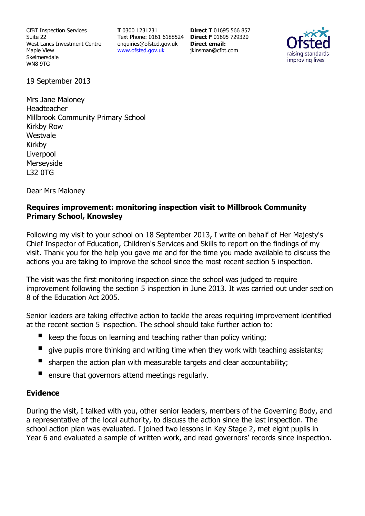CfBT Inspection Services Suite 22 West Lancs Investment Centre Maple View Skelmersdale WN8 9TG

**T** 0300 1231231 Text Phone: 0161 6188524 **Direct F** 01695 729320 enquiries@ofsted.gov.uk www.ofsted.gov.uk

**Direct T** 01695 566 857 **Direct email:**  jkinsman@cfbt.com



19 September 2013

Mrs Jane Maloney Headteacher Millbrook Community Primary School Kirkby Row Westvale Kirkby Liverpool Merseyside L32 0TG

Dear Mrs Maloney

## **Requires improvement: monitoring inspection visit to Millbrook Community Primary School, Knowsley**

Following my visit to your school on 18 September 2013, I write on behalf of Her Majesty's Chief Inspector of Education, Children's Services and Skills to report on the findings of my visit. Thank you for the help you gave me and for the time you made available to discuss the actions you are taking to improve the school since the most recent section 5 inspection.

The visit was the first monitoring inspection since the school was judged to require improvement following the section 5 inspection in June 2013. It was carried out under section 8 of the Education Act 2005.

Senior leaders are taking effective action to tackle the areas requiring improvement identified at the recent section 5 inspection. The school should take further action to:

- keep the focus on learning and teaching rather than policy writing;
- give pupils more thinking and writing time when they work with teaching assistants;
- sharpen the action plan with measurable targets and clear accountability;
- ensure that governors attend meetings regularly.

# **Evidence**

During the visit, I talked with you, other senior leaders, members of the Governing Body, and a representative of the local authority, to discuss the action since the last inspection. The school action plan was evaluated. I joined two lessons in Key Stage 2, met eight pupils in Year 6 and evaluated a sample of written work, and read governors' records since inspection.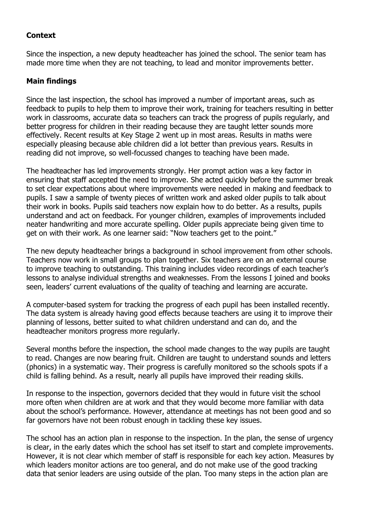## **Context**

Since the inspection, a new deputy headteacher has joined the school. The senior team has made more time when they are not teaching, to lead and monitor improvements better.

## **Main findings**

Since the last inspection, the school has improved a number of important areas, such as feedback to pupils to help them to improve their work, training for teachers resulting in better work in classrooms, accurate data so teachers can track the progress of pupils regularly, and better progress for children in their reading because they are taught letter sounds more effectively. Recent results at Key Stage 2 went up in most areas. Results in maths were especially pleasing because able children did a lot better than previous years. Results in reading did not improve, so well-focussed changes to teaching have been made.

The headteacher has led improvements strongly. Her prompt action was a key factor in ensuring that staff accepted the need to improve. She acted quickly before the summer break to set clear expectations about where improvements were needed in making and feedback to pupils. I saw a sample of twenty pieces of written work and asked older pupils to talk about their work in books. Pupils said teachers now explain how to do better. As a results, pupils understand and act on feedback. For younger children, examples of improvements included neater handwriting and more accurate spelling. Older pupils appreciate being given time to get on with their work. As one learner said: "Now teachers get to the point."

The new deputy headteacher brings a background in school improvement from other schools. Teachers now work in small groups to plan together. Six teachers are on an external course to improve teaching to outstanding. This training includes video recordings of each teacher's lessons to analyse individual strengths and weaknesses. From the lessons I joined and books seen, leaders' current evaluations of the quality of teaching and learning are accurate.

A computer-based system for tracking the progress of each pupil has been installed recently. The data system is already having good effects because teachers are using it to improve their planning of lessons, better suited to what children understand and can do, and the headteacher monitors progress more regularly.

Several months before the inspection, the school made changes to the way pupils are taught to read. Changes are now bearing fruit. Children are taught to understand sounds and letters (phonics) in a systematic way. Their progress is carefully monitored so the schools spots if a child is falling behind. As a result, nearly all pupils have improved their reading skills.

In response to the inspection, governors decided that they would in future visit the school more often when children are at work and that they would become more familiar with data about the school's performance. However, attendance at meetings has not been good and so far governors have not been robust enough in tackling these key issues.

The school has an action plan in response to the inspection. In the plan, the sense of urgency is clear, in the early dates which the school has set itself to start and complete improvements. However, it is not clear which member of staff is responsible for each key action. Measures by which leaders monitor actions are too general, and do not make use of the good tracking data that senior leaders are using outside of the plan. Too many steps in the action plan are